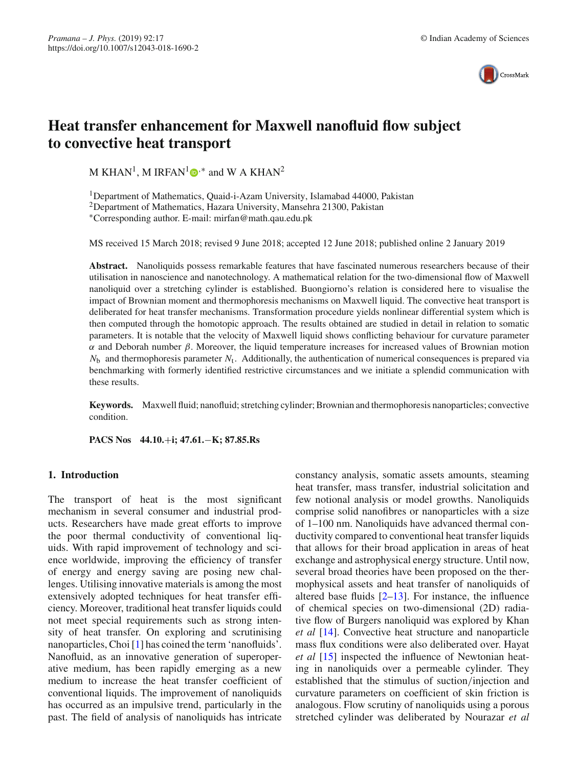

# **Heat transfer enhancement for Maxwell nanofluid flow subject to convective heat transport**

M KHAN<sup>1</sup>[,](http://orcid.org/0000-0002-0678-3224) M IRFAN<sup>1</sup> $\mathbf{D}^*$  and W A KHAN<sup>2</sup>

1Department of Mathematics, Quaid-i-Azam University, Islamabad 44000, Pakistan 2Department of Mathematics, Hazara University, Mansehra 21300, Pakistan ∗Corresponding author. E-mail: mirfan@math.qau.edu.pk

MS received 15 March 2018; revised 9 June 2018; accepted 12 June 2018; published online 2 January 2019

**Abstract.** Nanoliquids possess remarkable features that have fascinated numerous researchers because of their utilisation in nanoscience and nanotechnology. A mathematical relation for the two-dimensional flow of Maxwell nanoliquid over a stretching cylinder is established. Buongiorno's relation is considered here to visualise the impact of Brownian moment and thermophoresis mechanisms on Maxwell liquid. The convective heat transport is deliberated for heat transfer mechanisms. Transformation procedure yields nonlinear differential system which is then computed through the homotopic approach. The results obtained are studied in detail in relation to somatic parameters. It is notable that the velocity of Maxwell liquid shows conflicting behaviour for curvature parameter α and Deborah number β. Moreover, the liquid temperature increases for increased values of Brownian motion *N*<sup>b</sup> and thermophoresis parameter *N*t. Additionally, the authentication of numerical consequences is prepared via benchmarking with formerly identified restrictive circumstances and we initiate a splendid communication with these results.

**Keywords.** Maxwell fluid; nanofluid; stretching cylinder; Brownian and thermophoresis nanoparticles; convective condition.

**PACS Nos 44.10.**+**i; 47.61.**−**K; 87.85.Rs**

## **1. Introduction**

The transport of heat is the most significant mechanism in several consumer and industrial products. Researchers have made great efforts to improve the poor thermal conductivity of conventional liquids. With rapid improvement of technology and science worldwide, improving the efficiency of transfer of energy and energy saving are posing new challenges. Utilising innovative materials is among the most extensively adopted techniques for heat transfer efficiency. Moreover, traditional heat transfer liquids could not meet special requirements such as strong intensity of heat transfer. On exploring and scrutinising nanoparticles, Choi [\[1\]](#page-7-0) has coined the term 'nanofluids'. Nanofluid, as an innovative generation of superoperative medium, has been rapidly emerging as a new medium to increase the heat transfer coefficient of conventional liquids. The improvement of nanoliquids has occurred as an impulsive trend, particularly in the past. The field of analysis of nanoliquids has intricate constancy analysis, somatic assets amounts, steaming heat transfer, mass transfer, industrial solicitation and few notional analysis or model growths. Nanoliquids comprise solid nanofibres or nanoparticles with a size of 1–100 nm. Nanoliquids have advanced thermal conductivity compared to conventional heat transfer liquids that allows for their broad application in areas of heat exchange and astrophysical energy structure. Until now, several broad theories have been proposed on the thermophysical assets and heat transfer of nanoliquids of altered base fluids [\[2](#page-7-1)[–13\]](#page-7-2). For instance, the influence of chemical species on two-dimensional (2D) radiative flow of Burgers nanoliquid was explored by Khan *et al* [\[14\]](#page-7-3). Convective heat structure and nanoparticle mass flux conditions were also deliberated over. Hayat *et al* [\[15\]](#page-7-4) inspected the influence of Newtonian heating in nanoliquids over a permeable cylinder. They established that the stimulus of suction/injection and curvature parameters on coefficient of skin friction is analogous. Flow scrutiny of nanoliquids using a porous stretched cylinder was deliberated by Nourazar *et al*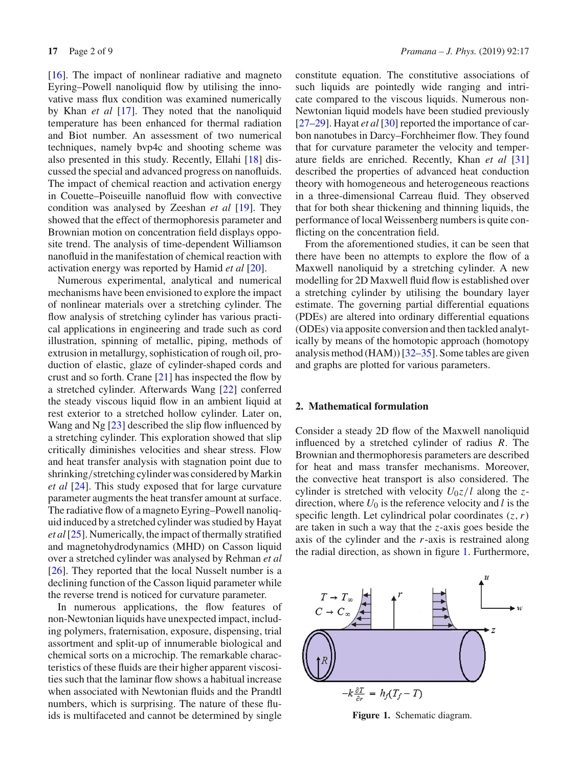[\[16](#page-7-5)]. The impact of nonlinear radiative and magneto Eyring–Powell nanoliquid flow by utilising the innovative mass flux condition was examined numerically by Khan *et al* [\[17](#page-7-6)]. They noted that the nanoliquid temperature has been enhanced for thermal radiation and Biot number. An assessment of two numerical techniques, namely bvp4c and shooting scheme was also presented in this study. Recently, Ellahi [\[18\]](#page-7-7) discussed the special and advanced progress on nanofluids. The impact of chemical reaction and activation energy in Couette–Poiseuille nanofluid flow with convective condition was analysed by Zeeshan *et al* [\[19](#page-7-8)]. They showed that the effect of thermophoresis parameter and Brownian motion on concentration field displays opposite trend. The analysis of time-dependent Williamson nanofluid in the manifestation of chemical reaction with activation energy was reported by Hamid *et al* [\[20\]](#page-7-9).

Numerous experimental, analytical and numerical mechanisms have been envisioned to explore the impact of nonlinear materials over a stretching cylinder. The flow analysis of stretching cylinder has various practical applications in engineering and trade such as cord illustration, spinning of metallic, piping, methods of extrusion in metallurgy, sophistication of rough oil, production of elastic, glaze of cylinder-shaped cords and crust and so forth. Crane [\[21](#page-7-10)] has inspected the flow by a stretched cylinder. Afterwards Wang [\[22\]](#page-7-11) conferred the steady viscous liquid flow in an ambient liquid at rest exterior to a stretched hollow cylinder. Later on, Wang and Ng [\[23\]](#page-7-12) described the slip flow influenced by a stretching cylinder. This exploration showed that slip critically diminishes velocities and shear stress. Flow and heat transfer analysis with stagnation point due to shrinking/stretching cylinder was considered by Markin *et al* [\[24\]](#page-7-13). This study exposed that for large curvature parameter augments the heat transfer amount at surface. The radiative flow of a magneto Eyring–Powell nanoliquid induced by a stretched cylinder was studied by Hayat *et al*[\[25](#page-7-14)]. Numerically, the impact of thermally stratified and magnetohydrodynamics (MHD) on Casson liquid over a stretched cylinder was analysed by Rehman *et al* [\[26](#page-7-15)]. They reported that the local Nusselt number is a declining function of the Casson liquid parameter while the reverse trend is noticed for curvature parameter.

In numerous applications, the flow features of non-Newtonian liquids have unexpected impact, including polymers, fraternisation, exposure, dispensing, trial assortment and split-up of innumerable biological and chemical sorts on a microchip. The remarkable characteristics of these fluids are their higher apparent viscosities such that the laminar flow shows a habitual increase when associated with Newtonian fluids and the Prandtl numbers, which is surprising. The nature of these fluids is multifaceted and cannot be determined by single constitute equation. The constitutive associations of such liquids are pointedly wide ranging and intricate compared to the viscous liquids. Numerous non-Newtonian liquid models have been studied previously [\[27](#page-7-16)[–29\]](#page-7-17). Hayat *et al* [\[30](#page-7-18)] reported the importance of carbon nanotubes in Darcy–Forchheimer flow. They found that for curvature parameter the velocity and temperature fields are enriched. Recently, Khan *et al* [\[31\]](#page-7-19) described the properties of advanced heat conduction theory with homogeneous and heterogeneous reactions in a three-dimensional Carreau fluid. They observed that for both shear thickening and thinning liquids, the performance of local Weissenberg numbers is quite conflicting on the concentration field.

From the aforementioned studies, it can be seen that there have been no attempts to explore the flow of a Maxwell nanoliquid by a stretching cylinder. A new modelling for 2D Maxwell fluid flow is established over a stretching cylinder by utilising the boundary layer estimate. The governing partial differential equations (PDEs) are altered into ordinary differential equations (ODEs) via apposite conversion and then tackled analytically by means of the homotopic approach (homotopy analysis method (HAM))  $[32-35]$  $[32-35]$ . Some tables are given and graphs are plotted for various parameters.

## **2. Mathematical formulation**

Consider a steady 2D flow of the Maxwell nanoliquid influenced by a stretched cylinder of radius *R*. The Brownian and thermophoresis parameters are described for heat and mass transfer mechanisms. Moreover, the convective heat transport is also considered. The cylinder is stretched with velocity  $U_0z/l$  along the *z*direction, where  $U_0$  is the reference velocity and *l* is the specific length. Let cylindrical polar coordinates (*z*,*r*) are taken in such a way that the *z*-axis goes beside the axis of the cylinder and the *r*-axis is restrained along the radial direction, as shown in figure [1.](#page-1-0) Furthermore,



<span id="page-1-0"></span>**Figure 1.** Schematic diagram.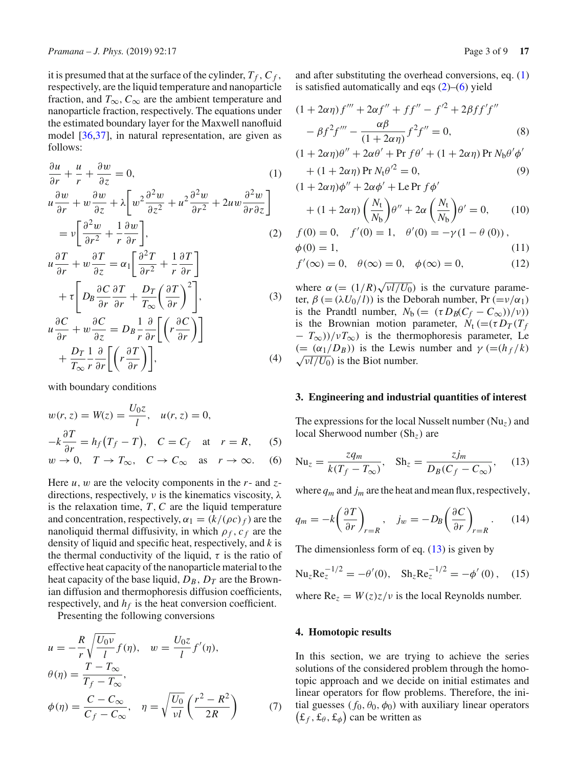it is presumed that at the surface of the cylinder,  $T_f$ ,  $C_f$ , respectively, are the liquid temperature and nanoparticle fraction, and  $T_{\infty}$ ,  $C_{\infty}$  are the ambient temperature and nanoparticle fraction, respectively. The equations under the estimated boundary layer for the Maxwell nanofluid model [\[36](#page-8-1)[,37](#page-8-2)], in natural representation, are given as follows:

$$
\frac{\partial u}{\partial r} + \frac{u}{r} + \frac{\partial w}{\partial z} = 0,
$$
\n
$$
u \frac{\partial w}{\partial r} + w \frac{\partial w}{\partial z} + \lambda \left[ w^2 \frac{\partial^2 w}{\partial z^2} + u^2 \frac{\partial^2 w}{\partial r^2} + 2u w \frac{\partial^2 w}{\partial r \partial z} \right]
$$
\n
$$
= v \left[ \frac{\partial^2 w}{\partial r^2} + \frac{1}{r} \frac{\partial w}{\partial r} \right],
$$
\n(2)

$$
u\frac{\partial T}{\partial r} + w\frac{\partial T}{\partial z} = \alpha_1 \left[ \frac{\partial^2 T}{\partial r^2} + \frac{1}{r} \frac{\partial T}{\partial r} \right] + \tau \left[ D_B \frac{\partial C}{\partial r} \frac{\partial T}{\partial r} + \frac{D_T}{T_{\infty}} \left( \frac{\partial T}{\partial r} \right)^2 \right],
$$
(3)  

$$
u\frac{\partial C}{\partial r} + w\frac{\partial C}{\partial z} = D_B \frac{1}{r} \frac{\partial}{\partial r} \left[ \left( r \frac{\partial C}{\partial r} \right) \right]
$$

$$
\frac{\partial r}{\partial z} + \frac{D_T}{T_{\infty}} \frac{1}{r} \frac{\partial}{\partial r} \left[ \left( r \frac{\partial T}{\partial r} \right) \right],
$$
\n(4)

with boundary conditions

<span id="page-2-2"></span>
$$
w(r, z) = W(z) = \frac{U_0 z}{l}, \quad u(r, z) = 0,
$$
  
\n
$$
-k \frac{\partial T}{\partial r} = h_f (T_f - T), \quad C = C_f \quad \text{at} \quad r = R,
$$
 (5)  
\n
$$
w \to 0, \quad T \to T_\infty, \quad C \to C_\infty \quad \text{as} \quad r \to \infty.
$$
 (6)

Here *u*, w are the velocity components in the *r*- and *z*directions, respectively,  $\nu$  is the kinematics viscosity,  $\lambda$ is the relaxation time, *T*,*C* are the liquid temperature and concentration, respectively,  $\alpha_1 = (k/(\rho c)_f)$  are the nanoliquid thermal diffusivity, in which  $\rho_f$ ,  $c_f$  are the density of liquid and specific heat, respectively, and *k* is the thermal conductivity of the liquid,  $\tau$  is the ratio of effective heat capacity of the nanoparticle material to the heat capacity of the base liquid,  $D_B$ ,  $D_T$  are the Brownian diffusion and thermophoresis diffusion coefficients, respectively, and  $h_f$  is the heat conversion coefficient.

Presenting the following conversions

$$
u = -\frac{R}{r} \sqrt{\frac{U_0 \nu}{l}} f(\eta), \quad w = \frac{U_0 z}{l} f'(\eta),
$$
  
\n
$$
\theta(\eta) = \frac{T - T_{\infty}}{T_f - T_{\infty}},
$$
  
\n
$$
\phi(\eta) = \frac{C - C_{\infty}}{C_f - C_{\infty}}, \quad \eta = \sqrt{\frac{U_0}{\nu l}} \left(\frac{r^2 - R^2}{2R}\right)
$$
(7)

and after substituting the overhead conversions, eq. [\(1\)](#page-2-0) is satisfied automatically and eqs  $(2)$ – $(6)$  yield

$$
(1 + 2\alpha \eta) f''' + 2\alpha f'' + ff'' - f'^2 + 2\beta f f' f''
$$

$$
- \beta f^2 f''' - \frac{\alpha \beta}{(1 + 2\alpha \eta)} f^2 f'' = 0,
$$
(8)

<span id="page-2-0"></span>
$$
(1 + 2\alpha \eta)\theta'' + 2\alpha \theta' + \Pr f \theta' + (1 + 2\alpha \eta) \Pr N_b \theta' \phi'
$$
  
+ 
$$
(1 + 2\alpha \eta) \Pr N_t \theta'^2 = 0,
$$
 (9)

$$
(1 + 2\alpha \eta)\phi'' + 2\alpha \phi' + \text{Le Pr } f\phi'
$$
  
+ 
$$
(1 + 2\alpha \eta) \left(\frac{N_t}{N_b}\right) \theta'' + 2\alpha \left(\frac{N_t}{N_b}\right) \theta' = 0, \qquad (10)
$$

<span id="page-2-1"></span>
$$
f(0) = 0, \quad f'(0) = 1, \quad \theta'(0) = -\gamma (1 - \theta (0)),
$$
  
\n
$$
\phi(0) = 1, \tag{11}
$$

$$
f'(\infty) = 0, \quad \theta(\infty) = 0, \quad \phi(\infty) = 0,
$$
 (12)

where  $\alpha$  (=  $(1/R)\sqrt{\nu l/U_0}$ ) is the curvature parameter,  $\beta$  (= ( $\lambda U_0$ /*l*)) is the Deborah number, Pr (= $\nu/\alpha_1$ ) is the Prandtl number,  $N_b$  (=  $(\tau D_B(C_f - C_\infty))/\nu)$ ) is the Brownian motion parameter,  $N_t$  (=( $\tau D_T$ ) $T_f$ − *T*∞))/ν*T*∞) is the thermophoresis parameter, Le (=  $(\alpha_1/D_B)$ ) is the Lewis number and  $\gamma$  (=( $h_f/k$ )  $\sqrt{vl/U_0}$ ) is the Biot number.

## **3. Engineering and industrial quantities of interest**

The expressions for the local Nusselt number (Nu*z*) and local Sherwood number (Sh*z*) are

<span id="page-2-3"></span>
$$
\text{Nu}_z = \frac{zq_m}{k(T_f - T_\infty)}, \quad \text{Sh}_z = \frac{zj_m}{D_B(C_f - C_\infty)}, \quad (13)
$$

where *qm* and *jm* are the heat and mean flux, respectively,

$$
q_m = -k \left(\frac{\partial T}{\partial r}\right)_{r=R}, \quad j_w = -D_B \left(\frac{\partial C}{\partial r}\right)_{r=R}.
$$
 (14)

The dimensionless form of eq.  $(13)$  is given by

$$
Nu_{z}Re_{z}^{-1/2} = -\theta'(0), Sh_{z}Re_{z}^{-1/2} = -\phi'(0), (15)
$$

where  $Re_z = W(z)z/\nu$  is the local Reynolds number.

## **4. Homotopic results**

In this section, we are trying to achieve the series solutions of the considered problem through the homotopic approach and we decide on initial estimates and linear operators for flow problems. Therefore, the initial guesses ( $f_0$ ,  $\theta_0$ ,  $\phi_0$ ) with auxiliary linear operators  $(\pounds_f, \pounds_\theta, \pounds_\phi)$  can be written as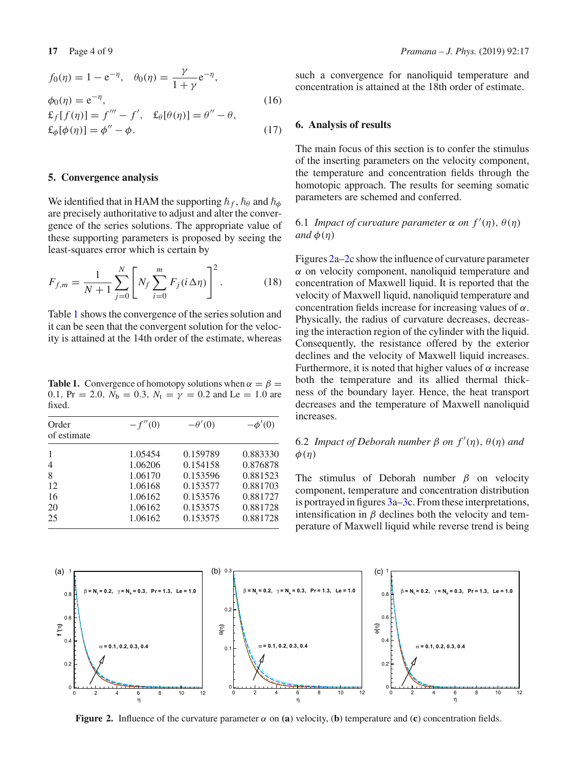$$
f_0(\eta) = 1 - e^{-\eta}, \quad \theta_0(\eta) = \frac{\gamma}{1 + \gamma} e^{-\eta},
$$
  
\n
$$
\phi_0(\eta) = e^{-\eta},
$$
  
\n
$$
\mathbf{f}_f[f(\eta)] = f''' - f', \quad \mathbf{f}_\theta[\theta(\eta)] = \theta'' - \theta,
$$
  
\n
$$
\mathbf{f}_\phi[\phi(\eta)] = \phi'' - \phi.
$$
\n(17)

#### **5. Convergence analysis**

We identified that in HAM the supporting  $\hbar_f$ ,  $\hbar_\theta$  and  $\hbar_\phi$ are precisely authoritative to adjust and alter the convergence of the series solutions. The appropriate value of these supporting parameters is proposed by seeing the least-squares error which is certain by

$$
F_{f,m} = \frac{1}{N+1} \sum_{j=0}^{N} \left[ N_f \sum_{i=0}^{m} F_j (i \Delta \eta) \right]^2.
$$
 (18)

Table [1](#page-3-0) shows the convergence of the series solution and it can be seen that the convergent solution for the velocity is attained at the 14th order of the estimate, whereas

<span id="page-3-0"></span>**Table 1.** Convergence of homotopy solutions when  $\alpha = \beta$ 0.1, Pr = 2.0,  $N_b = 0.3$ ,  $N_t = \gamma = 0.2$  and Le = 1.0 are fixed.

| Order<br>of estimate | $-f''(0)$ | $-\theta'(0)$ | $-\phi'(0)$ |
|----------------------|-----------|---------------|-------------|
|                      | 1.05454   | 0.159789      | 0.883330    |
| $\overline{4}$       | 1.06206   | 0.154158      | 0.876878    |
| 8                    | 1.06170   | 0.153596      | 0.881523    |
| 12                   | 1.06168   | 0.153577      | 0.881703    |
| 16                   | 1.06162   | 0.153576      | 0.881727    |
| 20                   | 1.06162   | 0.153575      | 0.881728    |
| 25                   | 1.06162   | 0.153575      | 0.881728    |

such a convergence for nanoliquid temperature and concentration is attained at the 18th order of estimate.

#### **6. Analysis of results**

The main focus of this section is to confer the stimulus of the inserting parameters on the velocity component, the temperature and concentration fields through the homotopic approach. The results for seeming somatic parameters are schemed and conferred.

# 6.1 *Impact of curvature parameter*  $\alpha$  *on*  $f'(\eta)$ ,  $\theta(\eta)$ *and*  $\phi(n)$

Figures [2a–2c](#page-3-1) show the influence of curvature parameter  $\alpha$  on velocity component, nanoliquid temperature and concentration of Maxwell liquid. It is reported that the velocity of Maxwell liquid, nanoliquid temperature and concentration fields increase for increasing values of  $\alpha$ . Physically, the radius of curvature decreases, decreasing the interaction region of the cylinder with the liquid. Consequently, the resistance offered by the exterior declines and the velocity of Maxwell liquid increases. Furthermore, it is noted that higher values of  $\alpha$  increase both the temperature and its allied thermal thickness of the boundary layer. Hence, the heat transport decreases and the temperature of Maxwell nanoliquid increases.

# **6.2** *Impact of Deborah number*  $β$  *on*  $f'(\eta)$ ,  $θ(\eta)$  *and*  $\phi(\eta)$

The stimulus of Deborah number  $\beta$  on velocity component, temperature and concentration distribution is portrayed in figures [3a–3c](#page-4-0). From these interpretations, intensification in  $\beta$  declines both the velocity and temperature of Maxwell liquid while reverse trend is being



<span id="page-3-1"></span>**Figure 2.** Influence of the curvature parameter  $\alpha$  on (a) velocity, (b) temperature and (c) concentration fields.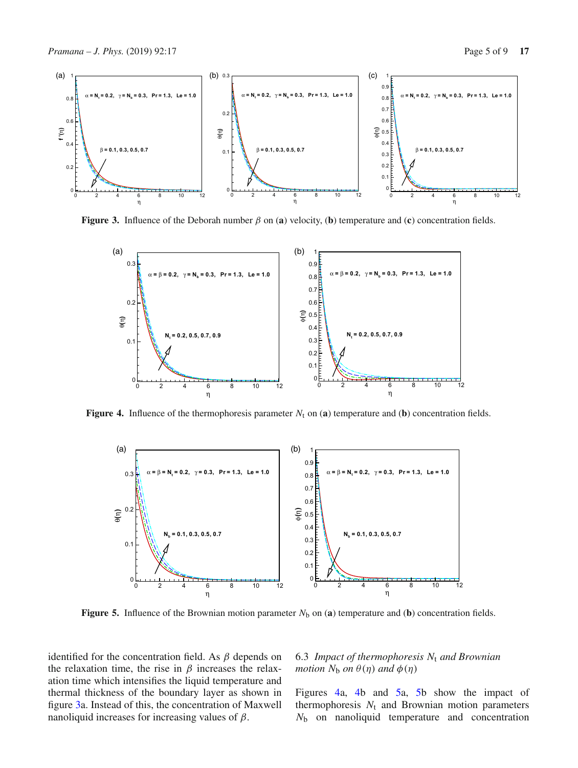

**Figure 3.** Influence of the Deborah number  $\beta$  on (**a**) velocity, (**b**) temperature and (**c**) concentration fields.

<span id="page-4-0"></span>

**Figure 4.** Influence of the thermophoresis parameter  $N_t$  on (**a**) temperature and (**b**) concentration fields.

<span id="page-4-1"></span>

<span id="page-4-2"></span>**Figure 5.** Influence of the Brownian motion parameter  $N_b$  on (**a**) temperature and (**b**) concentration fields.

identified for the concentration field. As  $\beta$  depends on the relaxation time, the rise in  $\beta$  increases the relaxation time which intensifies the liquid temperature and thermal thickness of the boundary layer as shown in figure [3a](#page-4-0). Instead of this, the concentration of Maxwell nanoliquid increases for increasing values of  $\beta$ .

# 6.3 *Impact of thermophoresis N*<sup>t</sup> *and Brownian motion*  $N_b$  *on*  $\theta(\eta)$  *and*  $\phi(\eta)$

Figures [4a](#page-4-1), [4b](#page-4-1) and [5a](#page-4-2), [5b](#page-4-2) show the impact of thermophoresis  $N_t$  and Brownian motion parameters *N*<sup>b</sup> on nanoliquid temperature and concentration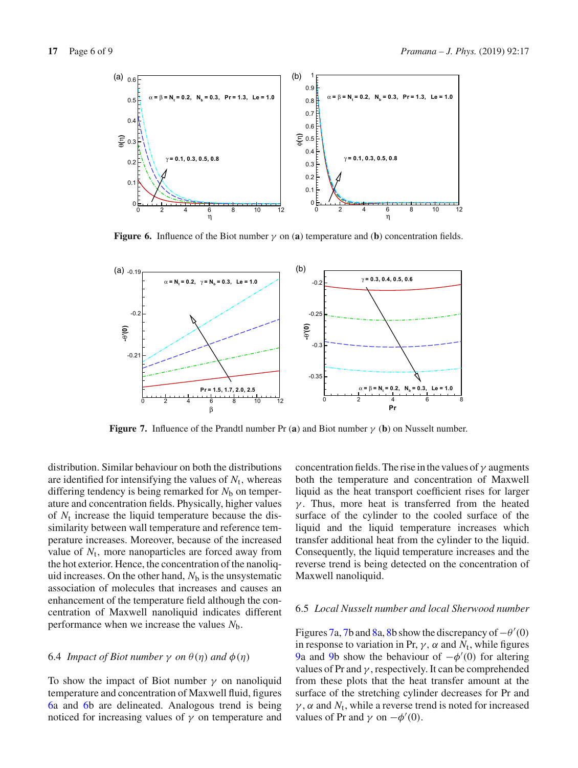

<span id="page-5-0"></span>**Figure 6.** Influence of the Biot number  $\gamma$  on (a) temperature and (b) concentration fields.



<span id="page-5-1"></span>**Figure 7.** Influence of the Prandtl number Pr (**a**) and Biot number γ (**b**) on Nusselt number.

distribution. Similar behaviour on both the distributions are identified for intensifying the values of  $N_t$ , whereas differing tendency is being remarked for  $N<sub>b</sub>$  on temperature and concentration fields. Physically, higher values of  $N_t$  increase the liquid temperature because the dissimilarity between wall temperature and reference temperature increases. Moreover, because of the increased value of  $N_t$ , more nanoparticles are forced away from the hot exterior. Hence, the concentration of the nanoliquid increases. On the other hand,  $N<sub>b</sub>$  is the unsystematic association of molecules that increases and causes an enhancement of the temperature field although the concentration of Maxwell nanoliquid indicates different performance when we increase the values *N*b.

## 6.4 *Impact of Biot number*  $\gamma$  *on*  $\theta(\eta)$  *and*  $\phi(\eta)$

To show the impact of Biot number  $\gamma$  on nanoliquid temperature and concentration of Maxwell fluid, figures [6a](#page-5-0) and [6b](#page-5-0) are delineated. Analogous trend is being noticed for increasing values of  $\gamma$  on temperature and concentration fields. The rise in the values of  $\gamma$  augments both the temperature and concentration of Maxwell liquid as the heat transport coefficient rises for larger  $\gamma$ . Thus, more heat is transferred from the heated surface of the cylinder to the cooled surface of the liquid and the liquid temperature increases which transfer additional heat from the cylinder to the liquid. Consequently, the liquid temperature increases and the reverse trend is being detected on the concentration of Maxwell nanoliquid.

# 6.5 *Local Nusselt number and local Sherwood number*

Figures [7a](#page-5-1), [7b](#page-5-1) and [8a](#page-6-0), [8b](#page-6-0) show the discrepancy of  $-\theta'(0)$ in response to variation in Pr,  $\gamma$ ,  $\alpha$  and  $N_t$ , while figures [9a](#page-6-1) and [9b](#page-6-1) show the behaviour of  $-\phi'(0)$  for altering values of Pr and  $\gamma$ , respectively. It can be comprehended from these plots that the heat transfer amount at the surface of the stretching cylinder decreases for Pr and  $\gamma$ ,  $\alpha$  and  $N_t$ , while a reverse trend is noted for increased values of Pr and  $\gamma$  on  $-\phi'(0)$ .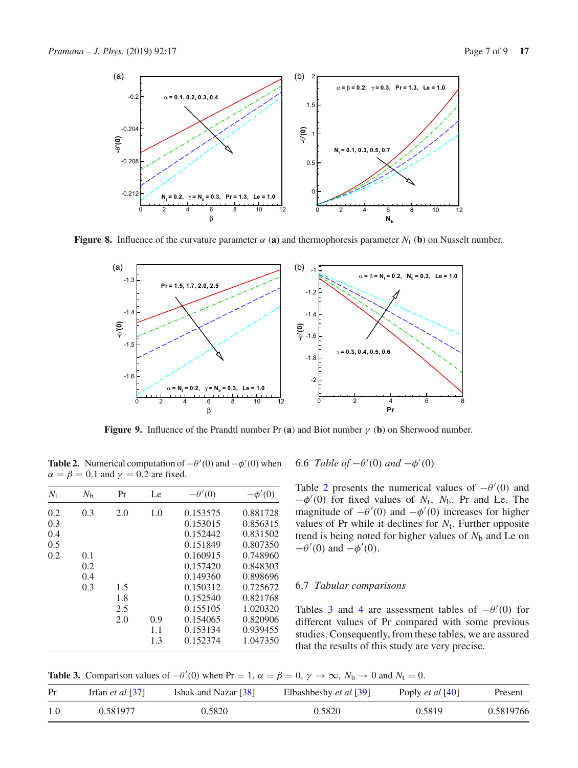

**Figure 8.** Influence of the curvature parameter  $\alpha$  (**a**) and thermophoresis parameter  $N_t$  (**b**) on Nusselt number.

<span id="page-6-0"></span>

<span id="page-6-1"></span>**Figure 9.** Influence of the Prandtl number Pr (**a**) and Biot number  $\gamma$  (**b**) on Sherwood number.

<span id="page-6-2"></span>**Table 2.** Numerical computation of  $-\theta'(0)$  and  $-\phi'(0)$  when  $\alpha = \beta = 0.1$  and  $\gamma = 0.2$  are fixed.

| $N_{t}$ | $N_{\rm b}$ | Pr  | Le  | $-\theta'(0)$ | $-\phi'(0)$ |
|---------|-------------|-----|-----|---------------|-------------|
| 0.2     | 0.3         | 2.0 | 1.0 | 0.153575      | 0.881728    |
| 0.3     |             |     |     | 0.153015      | 0.856315    |
| 0.4     |             |     |     | 0.152442      | 0.831502    |
| 0.5     |             |     |     | 0.151849      | 0.807350    |
| 0.2     | 0.1         |     |     | 0.160915      | 0.748960    |
|         | 0.2         |     |     | 0.157420      | 0.848303    |
|         | 0.4         |     |     | 0.149360      | 0.898696    |
|         | 0.3         | 1.5 |     | 0.150312      | 0.725672    |
|         |             | 1.8 |     | 0.152540      | 0.821768    |
|         |             | 2.5 |     | 0.155105      | 1.020320    |
|         |             | 2.0 | 0.9 | 0.154065      | 0.820906    |
|         |             |     | 1.1 | 0.153134      | 0.939455    |
|         |             |     | 1.3 | 0.152374      | 1.047350    |

6.6 *Table of*  $-\theta'(0)$  *and*  $-\phi'(0)$ 

Table [2](#page-6-2) presents the numerical values of  $-\theta'(0)$  and  $-\phi'(0)$  for fixed values of  $N_t$ ,  $N_b$ , Pr and Le. The magnitude of  $-\theta'(0)$  and  $-\phi'(0)$  increases for higher values of Pr while it declines for  $N_t$ . Further opposite trend is being noted for higher values of  $N<sub>b</sub>$  and Le on  $-\theta'(0)$  and  $-\phi'(0)$ .

## 6.7 *Tabular comparisons*

Tables [3](#page-6-3) and [4](#page-7-21) are assessment tables of  $-\theta'(0)$  for different values of Pr compared with some previous studies. Consequently, from these tables, we are assured that the results of this study are very precise.

**Table 3.** Comparison values of  $-\theta'(0)$  when Pr = 1,  $\alpha = \beta = 0$ ,  $\gamma \to \infty$ ,  $N_b \to 0$  and  $N_t = 0$ .

<span id="page-6-3"></span>

| Pr  | Irfan <i>et al</i> [37] | Ishak and Nazar [38] | Elbashbeshy et al [39] | Poply <i>et al</i> [40] | Present   |
|-----|-------------------------|----------------------|------------------------|-------------------------|-----------|
| 1.0 | 0.581977                | 0.5820               | 0.5820                 | 0.5819                  | 0.5819766 |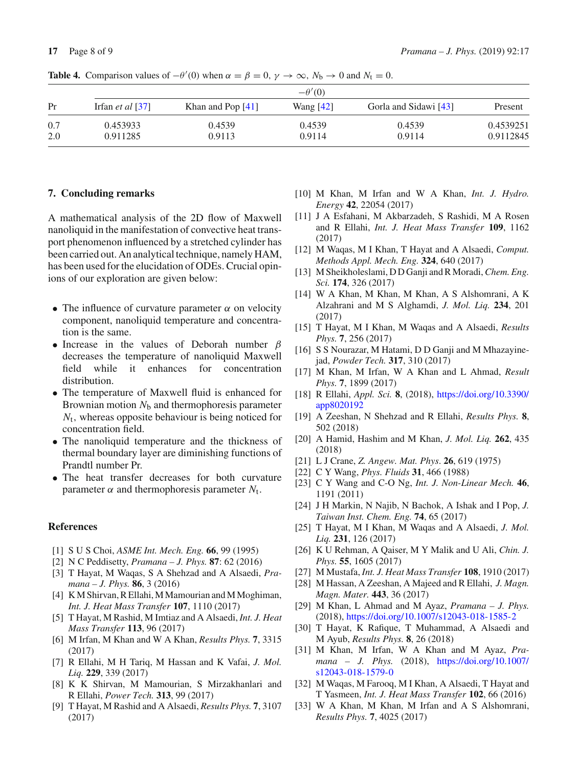<span id="page-7-21"></span>

|     | $-\theta'(0)$           |                     |             |                       |           |  |
|-----|-------------------------|---------------------|-------------|-----------------------|-----------|--|
| Pr  | Irfan <i>et al</i> [37] | Khan and Pop $[41]$ | Wang $[42]$ | Gorla and Sidawi [43] | Present   |  |
| 0.7 | 0.453933                | 0.4539              | 0.4539      | 0.4539                | 0.4539251 |  |
| 2.0 | 0.911285                | 0.9113              | 0.9114      | 0.9114                | 0.9112845 |  |

**Table 4.** Comparison values of  $-\theta'(0)$  when  $\alpha = \beta = 0$ ,  $\gamma \to \infty$ ,  $N_b \to 0$  and  $N_t = 0$ .

## **7. Concluding remarks**

A mathematical analysis of the 2D flow of Maxwell nanoliquid in the manifestation of convective heat transport phenomenon influenced by a stretched cylinder has been carried out. An analytical technique, namely HAM, has been used for the elucidation of ODEs. Crucial opinions of our exploration are given below:

- The influence of curvature parameter  $\alpha$  on velocity component, nanoliquid temperature and concentration is the same.
- Increase in the values of Deborah number  $\beta$ decreases the temperature of nanoliquid Maxwell field while it enhances for concentration distribution.
- The temperature of Maxwell fluid is enhanced for Brownian motion  $N<sub>b</sub>$  and thermophoresis parameter *N*t, whereas opposite behaviour is being noticed for concentration field.
- The nanoliquid temperature and the thickness of thermal boundary layer are diminishing functions of Prandtl number Pr.
- The heat transfer decreases for both curvature parameter  $\alpha$  and thermophoresis parameter  $N_t$ .

## **References**

- <span id="page-7-0"></span>[1] S U S Choi, *ASME Int. Mech. Eng.* **66**, 99 (1995)
- <span id="page-7-1"></span>[2] N C Peddisetty, *Pramana – J. Phys.* **87**: 62 (2016)
- [3] T Hayat, M Waqas, S A Shehzad and A Alsaedi, *Pramana – J. Phys.* **86**, 3 (2016)
- [4] K M Shirvan, R Ellahi, M Mamourian and M Moghiman, *Int. J. Heat Mass Transfer* **107**, 1110 (2017)
- [5] T Hayat, M Rashid, M Imtiaz and A Alsaedi, *Int. J. Heat Mass Transfer* **113**, 96 (2017)
- [6] M Irfan, M Khan and W A Khan, *Results Phys.* **7**, 3315 (2017)
- [7] R Ellahi, M H Tariq, M Hassan and K Vafai, *J. Mol. Liq.* **229**, 339 (2017)
- [8] K K Shirvan, M Mamourian, S Mirzakhanlari and R Ellahi, *Power Tech.* **313**, 99 (2017)
- [9] T Hayat, M Rashid and A Alsaedi, *Results Phys.* **7**, 3107 (2017)
- [10] M Khan, M Irfan and W A Khan, *Int. J. Hydro. Energy* **42**, 22054 (2017)
- [11] J A Esfahani, M Akbarzadeh, S Rashidi, M A Rosen and R Ellahi, *Int. J. Heat Mass Transfer* **109**, 1162 (2017)
- [12] M Waqas, M I Khan, T Hayat and A Alsaedi, *Comput. Methods Appl. Mech. Eng.* **324**, 640 (2017)
- <span id="page-7-2"></span>[13] M Sheikholeslami, D D Ganji and R Moradi,*Chem. Eng. Sci.* **174**, 326 (2017)
- <span id="page-7-3"></span>[14] W A Khan, M Khan, M Khan, A S Alshomrani, A K Alzahrani and M S Alghamdi, *J. Mol. Liq.* **234**, 201 (2017)
- <span id="page-7-4"></span>[15] T Hayat, M I Khan, M Waqas and A Alsaedi, *Results Phys.* **7**, 256 (2017)
- <span id="page-7-5"></span>[16] S S Nourazar, M Hatami, D D Ganji and M Mhazayinejad, *Powder Tech.* **317**, 310 (2017)
- <span id="page-7-6"></span>[17] M Khan, M Irfan, W A Khan and L Ahmad, *Result Phys.* **7**, 1899 (2017)
- <span id="page-7-7"></span>[18] R Ellahi, *Appl. Sci.* **8**, (2018), [https://doi.org/10.3390/](https://doi.org/10.3390/app8020192) [app8020192](https://doi.org/10.3390/app8020192)
- <span id="page-7-8"></span>[19] A Zeeshan, N Shehzad and R Ellahi, *Results Phys.* **8**, 502 (2018)
- <span id="page-7-9"></span>[20] A Hamid, Hashim and M Khan, *J. Mol. Liq.* **262**, 435 (2018)
- <span id="page-7-10"></span>[21] L J Crane, *Z. Angew. Mat. Phys*. **26**, 619 (1975)
- <span id="page-7-11"></span>[22] C Y Wang, *Phys. Fluids* **31**, 466 (1988)
- <span id="page-7-12"></span>[23] C Y Wang and C-O Ng, *Int. J. Non-Linear Mech.* **46**, 1191 (2011)
- <span id="page-7-13"></span>[24] J H Markin, N Najib, N Bachok, A Ishak and I Pop, *J. Taiwan Inst. Chem. Eng.* **74**, 65 (2017)
- <span id="page-7-14"></span>[25] T Hayat, M I Khan, M Waqas and A Alsaedi, *J. Mol. Liq.* **231**, 126 (2017)
- <span id="page-7-15"></span>[26] K U Rehman, A Qaiser, M Y Malik and U Ali, *Chin. J. Phys.* **55**, 1605 (2017)
- <span id="page-7-16"></span>[27] M Mustafa, *Int. J. Heat Mass Transfer* **108**, 1910 (2017)
- [28] M Hassan, A Zeeshan, A Majeed and R Ellahi, *J. Magn. Magn. Mater.* **443**, 36 (2017)
- <span id="page-7-17"></span>[29] M Khan, L Ahmad and M Ayaz, *Pramana – J. Phys.* (2018), <https://doi.org/10.1007/s12043-018-1585-2>
- <span id="page-7-18"></span>[30] T Hayat, K Rafique, T Muhammad, A Alsaedi and M Ayub, *Results Phys.* **8**, 26 (2018)
- <span id="page-7-19"></span>[31] M Khan, M Irfan, W A Khan and M Ayaz, *Pramana – J. Phys.* (2018), [https://doi.org/10.1007/](https://doi.org/10.1007/s12043-018-1579-0) [s12043-018-1579-0](https://doi.org/10.1007/s12043-018-1579-0)
- <span id="page-7-20"></span>[32] M Waqas, M Farooq, M I Khan, A Alsaedi, T Hayat and T Yasmeen, *Int. J. Heat Mass Transfer* **102**, 66 (2016)
- [33] W A Khan, M Khan, M Irfan and A S Alshomrani, *Results Phys.* **7**, 4025 (2017)